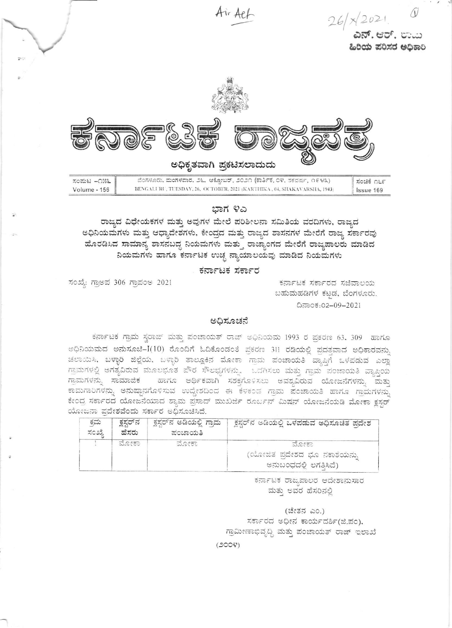

ಭಾಗ ೪ಎ

ರಾಜ್ಯದ ವಿಧೇಯಕಗಳ ಮತ್ತು ಅವುಗಳ ಮೇಲೆ ಪರಿಶೀಲನಾ ಸಮಿತಿಯ ವರದಿಗಳು, ರಾಜ್ಯದ ಅಧಿನಿಯಮಗಳು ಮತ್ತು ಆಧ್ಯಾದೇಶಗಳು, ಕೇಂದ್ರದ ಮತ್ತು ರಾಜ್ಯದ ಶಾಸನಗಳ ಮೇರೆಗೆ ರಾಜ್ಯ ಸರ್ಕಾರವು ಹೊರಡಿಸಿದ ಸಾಮಾನ್ಯ ಶಾಸನಬದ್ಧ ನಿಯಮಗಳು ಮತ್ತು ರಾಜ್ಯಾಂಗದ ಮೇರೆಗೆ ರಾಜ್ಯಪಾಲರು ಮಾಡಿದ ನಿಯಮಗಳು ಹಾಗೂ ಕರ್ನಾಟಕ ಉಚ್ಛ ನ್ಯಾಯಾಲಯವು ಮಾಡಿದ ನಿಯಮಗಳು

ಕರ್ನಾಟಕ ಸರ್ಕಾರ

ಸಂಖ್ಯೆ: ಗ್ರಾಅಪ 306 ಗ್ರಾಪಂಅ 2021

ಕರ್ನಾಟಕ ಸರ್ಕಾರದ ಸಚಿವಾಲಯ ಬಹುಮಹಡಿಗಳ ಕಟಡ, ಬೆಂಗಳೂರು. ದಿನಾಂಕ:02-09-2021

### ಅಧಿಸೂಚನೆ

ಕರ್ನಾಟಕ ಗ್ರಾಮ ಸ್ವರಾಜ್ ಮತ್ತು ಪಂಚಾಯತ್ ರಾಜ್ ಅಧಿನಿಯಮ 1993 ರ ಪ್ರಕರಣ 63, 309 ಹಾಗೂ ಅಧಿನಿಯಮದ ಅನುಸೂಚಿ–I(10) ರೊಂದಿಗೆ ಓದಿಕೊಂಡಂತೆ ಪ್ರಕರಣ 311 ರಡಿಯಲ್ಲಿ ಪ್ರದತ್ತವಾದ ಅಧಿಕಾರವನ್ನು ಚಲಾಯಿಸಿ, ಬಳ್ಳಾರಿ ಜಿಲ್ಲೆಯ, ಬಳ್ಳಾರಿ ತಾಲ್ಲೂಕಿನ ಮೋಕಾ ಗ್ರಾಮ ಪಂಚಾಯತಿ ವ್ಯಾಪ್ತಿಗೆ ಒಳಪಡುವ ಎಲ್ಲಾ ಗ್ರಾಮಗಳಲ್ಲಿ ಅಗತ್ಯವಿರುವ ಮೂಲಭೂತ ಪೌರ ಸೌಲಭ್ಯಗಳನ್ನು, ಒದಗಿಸಲು ಮತ್ತು ಗ್ರಾಮ ಪಂಚಾಯತಿ ವ್ಯಾಪ್ತಿಯ ಗ್ರಾಮಗಳನ್ನು ಸಾಮಾಜಿಕ ಹಾಗೂ ಆರ್ಥಿಕವಾಗಿ ಸಶಕ್ತಗೊಳಿಸಲು ಅವಶ್ಯವಿರುವ ಯೋಜನೆಗಳನ್ನು ಮತ್ತು ಕಾಮಗಾರಿಗಳನ್ನು ಅನುಷ್ಠಾನಗೊಳಿಸುವ ಉದ್ದೇಶದಿಂದ ಈ ಕೆಳಕಂಡ ಗ್ರಾಮ ಪಂಚಾಯತಿ ಹಾಗೂ ಗ್ರಾಮಗಳನ್ನು ಕೇಂದ್ರ ಸರ್ಕಾರದ ಯೋಜನೆಯಾದ ಶ್ಯಾಮ ಪ್ರಸಾದ್ ಮುಖರ್ಜಿ ರೂರ್ಬನ್ ಮಿಷನ್ ಯೋಜನೆಯಡಿ ಮೋಕಾ ಕ್ಷಸ್ರರ್ ಯೋಜನಾ ಪ್ರದೇಶವೆಂದು ಸರ್ಕಾರ ಅಧಿಸೂಚಿಸಿದೆ.

| ಕಮ<br>ಸಂಖೆ | ಕ್ಷಸ್ಟರ್ ನ<br>ಹೆಸರು | ಕ್ಷಸ್ಟರ್ <b>ನ ಅಡಿಯಲ್ಲಿ</b> ಗ್ರಾಮ<br>ಪಂಚಾಯತಿ | ಕ್ಷಸ್ರರ್ನ ಅಡಿಯಲ್ಲಿ ಒಳಪಡುವ ಅಧಿಸೂಚಿತ ಪ್ರದೇಶ |  |
|------------|---------------------|---------------------------------------------|-------------------------------------------|--|
|            | ಮೋಕಾ                | ಮೂೀಕಾ                                       | ಮೋಕಾ                                      |  |
|            |                     |                                             | (ಯೋಜಿತ ಪ್ರದೇಶದ ಭೂ ನಕಾಶೆಯನ್ನು              |  |
|            |                     |                                             | ಅನುಬಂಧದಲಿ ಲಗತಿಸಿದೆ)                       |  |

ಕರ್ನಾಟಕ ರಾಜ್ಯಪಾಲರ ಆದೇಶಾನುಸಾರ ಮತ್ತು ಆವರ ಹೆಸರಿನಲ್ಲಿ

(ಚೇತನ ಎಂ.) ಸರ್ಕಾರದ ಅಧೀನ ಕಾರ್ಯದರ್ಶಿ(ಜಿ.ಪಂ), ಗ್ರಾಮೀಣಾಭಿವೃದ್ಧಿ ಮತ್ತು ಪಂಚಾಯತ್ ರಾಜ್ ಇಲಾಖೆ

 $(500$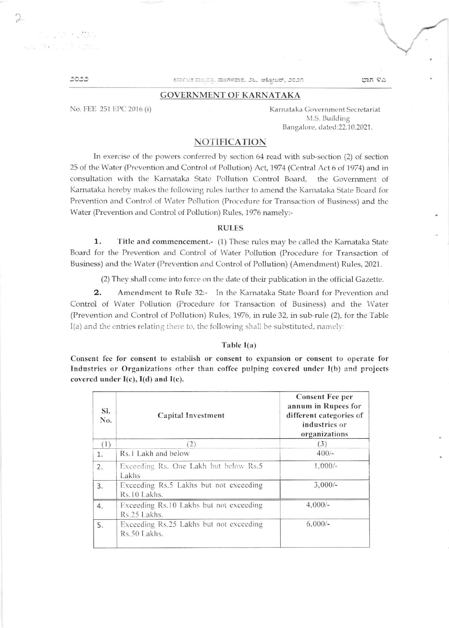ಕರ್ನಾಟಕ ರಾಜ್ಯಪತ. ಮಂಗಳವಾರ, ೨೬, ಆಕ್ಸೋಬರ್, ೨೦೨೧

**GOVERNMENT OF KARNATAKA** 

No. FEE 251 EPC 2016 (i)

Karnataka Government Secretariat M.S. Building Bangalore, dated:22.10.2021.

ಭಾಗ ೪ಎ

# **NOTIFICATION**

In exercise of the powers conferred by section 64 read with sub-section (2) of section 25 of the Water (Prevention and Control of Pollution) Act, 1974 (Central Act 6 of 1974) and in consultation with the Karnataka State Pollution Control Board, the Government of Karnataka hereby makes the following rules further to amend the Karnataka State Board for Prevention and Control of Water Pollution (Procedure for Transaction of Business) and the Water (Prevention and Control of Pollution) Rules, 1976 namely:-

## **RULES**

Title and commencement.- (1) These rules may be called the Karnataka State 1. Board for the Prevention and Control of Water Pollution (Procedure for Transaction of Business) and the Water (Prevention and Control of Pollution) (Amendment) Rules, 2021.

(2) They shall come into force on the date of their publication in the official Gazette.

 $2.$ Amendment to Rule 32:- In the Karnataka State Board for Prevention and Control of Water Pollution (Procedure for Transaction of Business) and the Water (Prevention and Control of Pollution) Rules, 1976, in rule 32, in sub-rule (2), for the Table I(a) and the entries relating there to, the following shall be substituted, namely:

#### Table  $I(a)$

Consent fee for consent to establish or consent to expansion or consent to operate for Industries or Organizations other than coffee pulping covered under I(b) and projects covered under  $I(c)$ ,  $I(d)$  and  $I(e)$ .

| SI.<br>N <sub>0</sub> . | <b>Capital Investment</b>                                 | <b>Consent Fee per</b><br>annum in Rupees for<br>different categories of<br>industries or<br>organizations |
|-------------------------|-----------------------------------------------------------|------------------------------------------------------------------------------------------------------------|
| (1)                     | (2)                                                       | (3)                                                                                                        |
| 1.                      | Rs.1 Lakh and below                                       | $400/-$                                                                                                    |
| 2.                      | Exceeding Rs. One Lakh but below Rs.5<br>Lakhs            | $1,000/-$                                                                                                  |
| 3.                      | Exceeding Rs.5 Lakhs but not exceeding<br>Rs.10 Lakhs.    | $3,000/-$                                                                                                  |
| 4.                      | Exceeding Rs.10 Lakhs but not exceeding<br>Rs.25 Lakhs.   | $4,000/-$                                                                                                  |
| 5.                      | Exceeding Rs.25 Lakhs but not exceeding<br>$Rs.50$ Lakhs. | $6,000/-$                                                                                                  |

೨೦೨೨

 $\label{eq:2} \mathcal{E} = -\frac{\partial^2}{\partial x^2} + \frac{\partial^2}{\partial y^2} + \frac{\partial^2}{\partial z^2} + \frac{\partial^2}{\partial x^2} + \frac{\partial^2}{\partial y^2} + \frac{\partial^2}{\partial y^2} + \frac{\partial^2}{\partial y^2} + \frac{\partial^2}{\partial y^2} + \frac{\partial^2}{\partial y^2} + \frac{\partial^2}{\partial y^2} + \frac{\partial^2}{\partial y^2} + \frac{\partial^2}{\partial y^2} + \frac{\partial^2}{\partial y^2} + \frac{\partial^2}{\partial y^2} + \frac{\partial^2}{\partial$ **Collection** Collection

 $\mathfrak{D}$